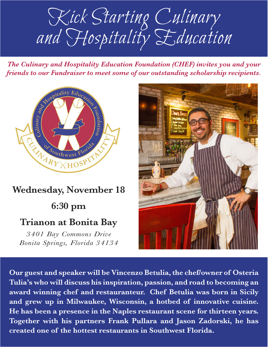Kick Starting Culinary and Hospitality Education

*The Culinary and Hospitality Education Foundation (CHEF) invites you and your friends to our Fundraiser to meet some of our outstanding scholarship recipients.*



## **Wednesday, November 18 6:30 pm Trianon at Bonita Bay**  *3401 Bay Commons Drive*

*Bonita Springs, Florida 34134*



**Our guest and speaker will be Vincenzo Betulia, the chef/owner of Osteria Tulia's who will discuss his inspiration, passion, and road to becoming an award winning chef and restauranteur. Chef Betulia was born in Sicily and grew up in Milwaukee, Wisconsin, a hotbed of innovative cuisine. He has been a presence in the Naples restaurant scene for thirteen years. Together with his partners Frank Pullara and Jason Zadorski, he has created one of the hottest restaurants in Southwest Florida.**